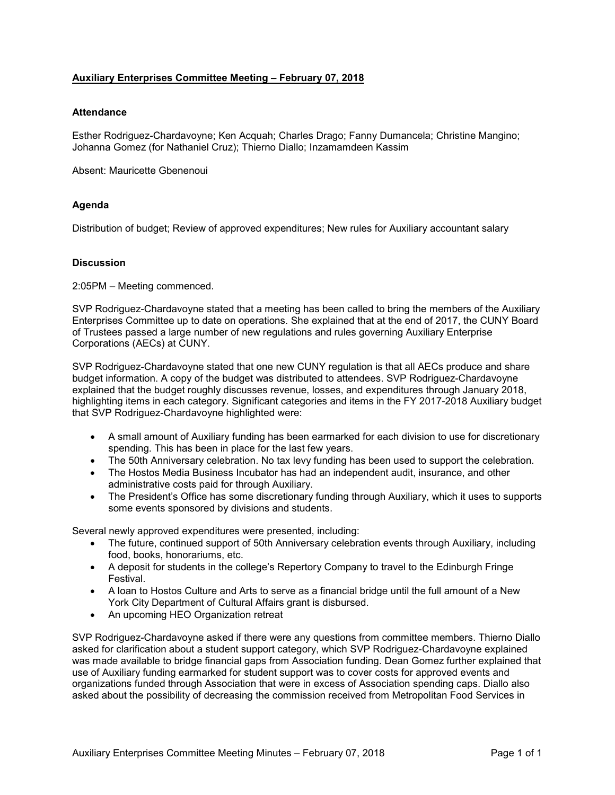## **Auxiliary Enterprises Committee Meeting – February 07, 2018**

## **Attendance**

Esther Rodriguez-Chardavoyne; Ken Acquah; Charles Drago; Fanny Dumancela; Christine Mangino; Johanna Gomez (for Nathaniel Cruz); Thierno Diallo; Inzamamdeen Kassim

Absent: Mauricette Gbenenoui

## **Agenda**

Distribution of budget; Review of approved expenditures; New rules for Auxiliary accountant salary

## **Discussion**

2:05PM – Meeting commenced.

SVP Rodriguez-Chardavoyne stated that a meeting has been called to bring the members of the Auxiliary Enterprises Committee up to date on operations. She explained that at the end of 2017, the CUNY Board of Trustees passed a large number of new regulations and rules governing Auxiliary Enterprise Corporations (AECs) at CUNY.

SVP Rodriguez-Chardavoyne stated that one new CUNY regulation is that all AECs produce and share budget information. A copy of the budget was distributed to attendees. SVP Rodriguez-Chardavoyne explained that the budget roughly discusses revenue, losses, and expenditures through January 2018, highlighting items in each category. Significant categories and items in the FY 2017-2018 Auxiliary budget that SVP Rodriguez-Chardavoyne highlighted were:

- A small amount of Auxiliary funding has been earmarked for each division to use for discretionary spending. This has been in place for the last few years.
- The 50th Anniversary celebration. No tax levy funding has been used to support the celebration.
- The Hostos Media Business Incubator has had an independent audit, insurance, and other administrative costs paid for through Auxiliary.
- The President's Office has some discretionary funding through Auxiliary, which it uses to supports some events sponsored by divisions and students.

Several newly approved expenditures were presented, including:

- The future, continued support of 50th Anniversary celebration events through Auxiliary, including food, books, honorariums, etc.
- A deposit for students in the college's Repertory Company to travel to the Edinburgh Fringe Festival.
- A loan to Hostos Culture and Arts to serve as a financial bridge until the full amount of a New York City Department of Cultural Affairs grant is disbursed.
- An upcoming HEO Organization retreat

SVP Rodriguez-Chardavoyne asked if there were any questions from committee members. Thierno Diallo asked for clarification about a student support category, which SVP Rodriguez-Chardavoyne explained was made available to bridge financial gaps from Association funding. Dean Gomez further explained that use of Auxiliary funding earmarked for student support was to cover costs for approved events and organizations funded through Association that were in excess of Association spending caps. Diallo also asked about the possibility of decreasing the commission received from Metropolitan Food Services in